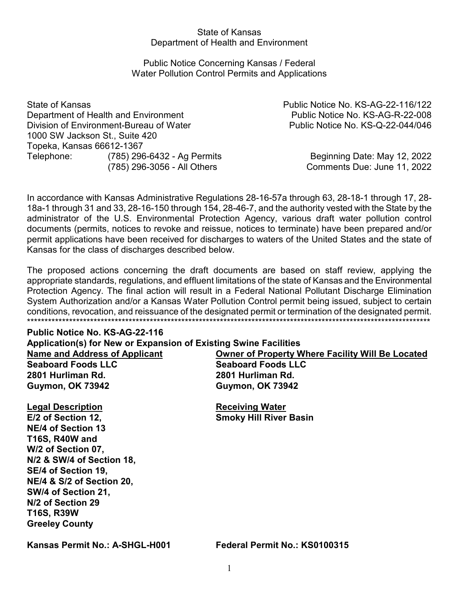#### State of Kansas Department of Health and Environment

## Public Notice Concerning Kansas / Federal Water Pollution Control Permits and Applications

State of Kansas Public Notice No. KS-AG-22-116/122 Department of Health and Environment **Public Notice No. KS-AG-R-22-008** Division of Environment-Bureau of Water Public Notice No. KS-Q-22-044/046 1000 SW Jackson St., Suite 420 Topeka, Kansas 66612-1367 Telephone: (785) 296-6432 - Ag Permits Beginning Date: May 12, 2022

(785) 296-3056 - All Others Comments Due: June 11, 2022

In accordance with Kansas Administrative Regulations 28-16-57a through 63, 28-18-1 through 17, 28- 18a-1 through 31 and 33, 28-16-150 through 154, 28-46-7, and the authority vested with the State by the administrator of the U.S. Environmental Protection Agency, various draft water pollution control documents (permits, notices to revoke and reissue, notices to terminate) have been prepared and/or permit applications have been received for discharges to waters of the United States and the state of Kansas for the class of discharges described below.

The proposed actions concerning the draft documents are based on staff review, applying the appropriate standards, regulations, and effluent limitations of the state of Kansas and the Environmental Protection Agency. The final action will result in a Federal National Pollutant Discharge Elimination System Authorization and/or a Kansas Water Pollution Control permit being issued, subject to certain conditions, revocation, and reissuance of the designated permit or termination of the designated permit. \*\*\*\*\*\*\*\*\*\*\*\*\*\*\*\*\*\*\*\*\*\*\*\*\*\*\*\*\*\*\*\*\*\*\*\*\*\*\*\*\*\*\*\*\*\*\*\*\*\*\*\*\*\*\*\*\*\*\*\*\*\*\*\*\*\*\*\*\*\*\*\*\*\*\*\*\*\*\*\*\*\*\*\*\*\*\*\*\*\*\*\*\*\*\*\*\*\*\*\*\*\*\*\*\*\*\*\*\*\*\*\*\*\*\*

# **Public Notice No. KS-AG-22-116**

**Application(s) for New or Expansion of Existing Swine Facilities Name and Address of Applicant Owner of Property Where Facility Will Be Located Seaboard Foods LLC Seaboard Foods LLC 2801 Hurliman Rd. 2801 Hurliman Rd. Guymon, OK 73942 Guymon, OK 73942**

**Legal Description**<br> **E/2 of Section 12.**<br> **Receiving Water NE/4 of Section 13 T16S, R40W and W/2 of Section 07, N/2 & SW/4 of Section 18, SE/4 of Section 19, NE/4 & S/2 of Section 20, SW/4 of Section 21, N/2 of Section 29 T16S, R39W Greeley County**

**Smoky Hill River Basin** 

**Kansas Permit No.: A-SHGL-H001 Federal Permit No.: KS0100315**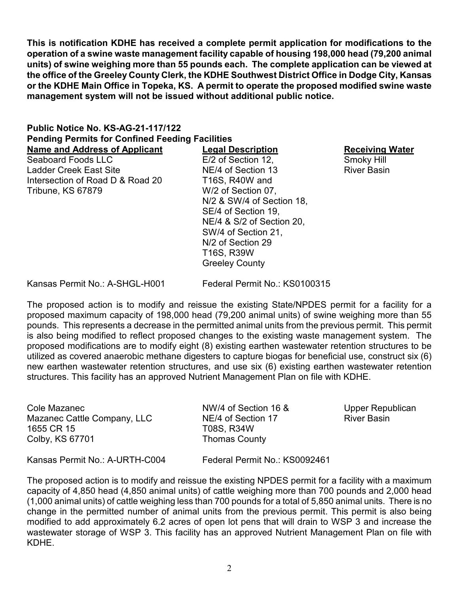**This is notification KDHE has received a complete permit application for modifications to the operation of a swine waste management facility capable of housing 198,000 head (79,200 animal units) of swine weighing more than 55 pounds each. The complete application can be viewed at the office of the Greeley County Clerk, the KDHE Southwest District Office in Dodge City, Kansas or the KDHE Main Office in Topeka, KS. A permit to operate the proposed modified swine waste management system will not be issued without additional public notice.**

# **Public Notice No. KS-AG-21-117/122 Pending Permits for Confined Feeding Facilities**

Ladder Creek East Site **NE/4 of Section 13** River Basin Intersection of Road D & Road 20 T16S, R40W and Tribune, KS 67879 W/2 of Section 07,

**Name and Address of Applicant Legal Description Receiving Water**  $E/2$  of Section 12, N/2 & SW/4 of Section 18, SE/4 of Section 19, NE/4 & S/2 of Section 20, SW/4 of Section 21, N/2 of Section 29 T16S, R39W Greeley County

Kansas Permit No.: A-SHGL-H001 Federal Permit No.: KS0100315

The proposed action is to modify and reissue the existing State/NPDES permit for a facility for a proposed maximum capacity of 198,000 head (79,200 animal units) of swine weighing more than 55 pounds. This represents a decrease in the permitted animal units from the previous permit. This permit is also being modified to reflect proposed changes to the existing waste management system. The proposed modifications are to modify eight (8) existing earthen wastewater retention structures to be utilized as covered anaerobic methane digesters to capture biogas for beneficial use, construct six (6) new earthen wastewater retention structures, and use six (6) existing earthen wastewater retention structures. This facility has an approved Nutrient Management Plan on file with KDHE.

| Cole Mazanec<br>Mazanec Cattle Company, LLC<br>1655 CR 15<br>Colby, KS 67701 | NW/4 of Section 16 &<br>NE/4 of Section 17<br>T08S, R34W<br><b>Thomas County</b> | Upper Republican<br><b>River Basin</b> |
|------------------------------------------------------------------------------|----------------------------------------------------------------------------------|----------------------------------------|
| Kansas Permit No.: A-URTH-C004                                               | Federal Permit No.: KS0092461                                                    |                                        |

The proposed action is to modify and reissue the existing NPDES permit for a facility with a maximum capacity of 4,850 head (4,850 animal units) of cattle weighing more than 700 pounds and 2,000 head (1,000 animal units) of cattle weighing less than 700 pounds for a total of 5,850 animal units. There is no change in the permitted number of animal units from the previous permit. This permit is also being modified to add approximately 6.2 acres of open lot pens that will drain to WSP 3 and increase the wastewater storage of WSP 3. This facility has an approved Nutrient Management Plan on file with KDHE.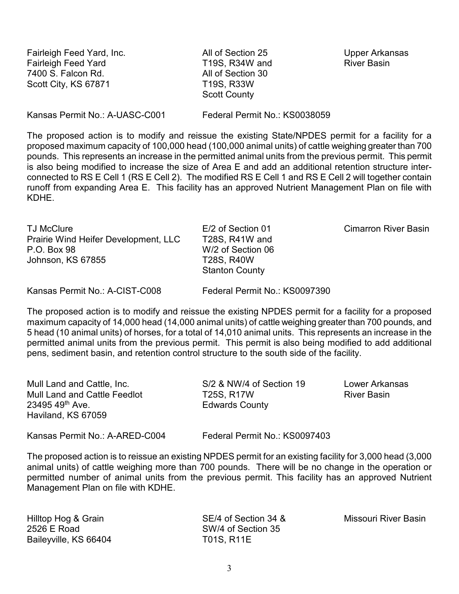Fairleigh Feed Yard, Inc. All of Section 25 Upper Arkansas Fairleigh Feed Yard **T19S, R34W and** River Basin 7400 S. Falcon Rd. All of Section 30 Scott City, KS 67871 T19S, R33W

Scott County

Kansas Permit No.: A-UASC-C001 Federal Permit No.: KS0038059

The proposed action is to modify and reissue the existing State/NPDES permit for a facility for a proposed maximum capacity of 100,000 head (100,000 animal units) of cattle weighing greater than 700 pounds. This represents an increase in the permitted animal units from the previous permit. This permit is also being modified to increase the size of Area E and add an additional retention structure interconnected to RS E Cell 1 (RS E Cell 2). The modified RS E Cell 1 and RS E Cell 2 will together contain runoff from expanding Area E. This facility has an approved Nutrient Management Plan on file with KDHE.

TJ McClure **E/2 of Section 01** Cimarron River Basin Prairie Wind Heifer Development, LLC T28S, R41W and P.O. Box 98 W/2 of Section 06 Johnson, KS 67855 T28S, R40W

Stanton County

Kansas Permit No.: A-CIST-C008 Federal Permit No.: KS0097390

The proposed action is to modify and reissue the existing NPDES permit for a facility for a proposed maximum capacity of 14,000 head (14,000 animal units) of cattle weighing greater than 700 pounds, and 5 head (10 animal units) of horses, for a total of 14,010 animal units. This represents an increase in the permitted animal units from the previous permit. This permit is also being modified to add additional pens, sediment basin, and retention control structure to the south side of the facility.

| Mull Land and Cattle, Inc.<br><b>Mull Land and Cattle Feedlot</b><br>23495 49th Ave.<br>Haviland, KS 67059 | S/2 & NW/4 of Section 19<br>T25S, R17W<br><b>Edwards County</b> | Lower Arkansas<br><b>River Basin</b> |
|------------------------------------------------------------------------------------------------------------|-----------------------------------------------------------------|--------------------------------------|
| Kansas Permit No.: A-ARED-C004                                                                             | Federal Permit No.: KS0097403                                   |                                      |

The proposed action is to reissue an existing NPDES permit for an existing facility for 3,000 head (3,000 animal units) of cattle weighing more than 700 pounds. There will be no change in the operation or permitted number of animal units from the previous permit. This facility has an approved Nutrient Management Plan on file with KDHE.

2526 E Road SW/4 of Section 35 Baileyville, KS 66404 T01S, R11E

Hilltop Hog & Grain **SE/4 of Section 34 &** Missouri River Basin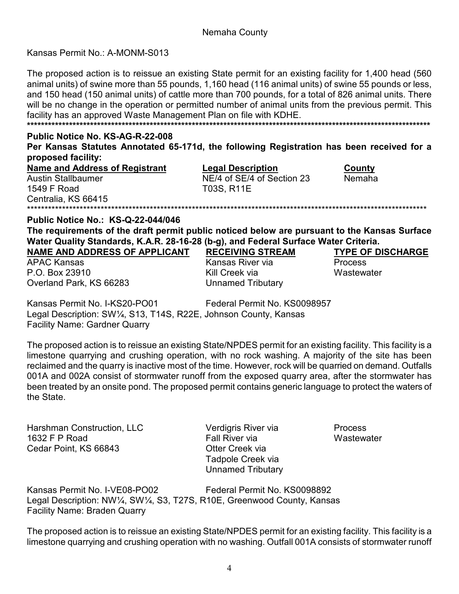# Nemaha County

# Kansas Permit No.: A-MONM-S013

The proposed action is to reissue an existing State permit for an existing facility for 1,400 head (560 animal units) of swine more than 55 pounds, 1,160 head (116 animal units) of swine 55 pounds or less, and 150 head (150 animal units) of cattle more than 700 pounds, for a total of 826 animal units. There will be no change in the operation or permitted number of animal units from the previous permit. This facility has an approved Waste Management Plan on file with KDHE. 

# Public Notice No. KS-AG-R-22-008

Per Kansas Statutes Annotated 65-171d, the following Registration has been received for a proposed facility:

**Name and Address of Registrant Austin Stallbaumer** 1549 F Road Centralia, KS 66415 

**Legal Description** NE/4 of SE/4 of Section 23 T03S, R11E

County Nemaha

#### **Public Notice No.: KS-Q-22-044/046**

The requirements of the draft permit public noticed below are pursuant to the Kansas Surface Water Quality Standards, K.A.R. 28-16-28 (b-g), and Federal Surface Water Criteria.

**NAME AND ADDRESS OF APPLICANT** 

**APAC Kansas** P.O. Box 23910 Overland Park, KS 66283

# **RECEIVING STREAM**

Kansas River via Kill Creek via **Unnamed Tributary**  **TYPE OF DISCHARGE Process** 

Wastewater

Kansas Permit No. I-KS20-PO01 Federal Permit No. KS0098957 Legal Description: SW1/4, S13, T14S, R22E, Johnson County, Kansas **Facility Name: Gardner Quarry** 

The proposed action is to reissue an existing State/NPDES permit for an existing facility. This facility is a limestone quarrying and crushing operation, with no rock washing. A majority of the site has been reclaimed and the quarry is inactive most of the time. However, rock will be quarried on demand. Outfalls 001A and 002A consist of stormwater runoff from the exposed quarry area, after the stormwater has been treated by an onsite pond. The proposed permit contains generic language to protect the waters of the State.

Harshman Construction, LLC 1632 F P Road Cedar Point. KS 66843

Verdigris River via Fall River via Otter Creek via Tadpole Creek via **Unnamed Tributary** 

**Process** Wastewater

Kansas Permit No. I-VE08-PO02 Federal Permit No. KS0098892 Legal Description: NW1/4, SW1/4, S3, T27S, R10E, Greenwood County, Kansas **Facility Name: Braden Quarry** 

The proposed action is to reissue an existing State/NPDES permit for an existing facility. This facility is a limestone quarrying and crushing operation with no washing. Outfall 001A consists of stormwater runoff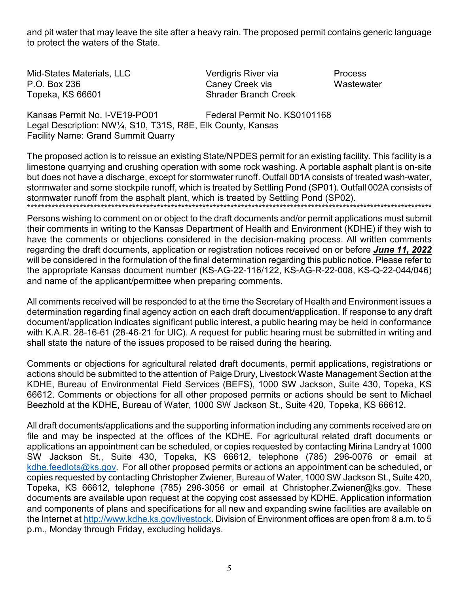and pit water that may leave the site after a heavy rain. The proposed permit contains generic language to protect the waters of the State.

Mid-States Materials, LLC P.O. Box 236 Topeka, KS 66601

Verdigris River via Caney Creek via **Shrader Branch Creek**  **Process** Wastewater

Kansas Permit No. I-VE19-PO01 Federal Permit No. KS0101168 Legal Description: NW1/4, S10, T31S, R8E, Elk County, Kansas **Facility Name: Grand Summit Quarry** 

The proposed action is to reissue an existing State/NPDES permit for an existing facility. This facility is a limestone quarrying and crushing operation with some rock washing. A portable asphalt plant is on-site but does not have a discharge, except for stormwater runoff. Outfall 001A consists of treated wash-water, stormwater and some stockpile runoff, which is treated by Settling Pond (SP01). Outfall 002A consists of stormwater runoff from the asphalt plant, which is treated by Settling Pond (SP02). 

Persons wishing to comment on or object to the draft documents and/or permit applications must submit their comments in writing to the Kansas Department of Health and Environment (KDHE) if they wish to have the comments or objections considered in the decision-making process. All written comments regarding the draft documents, application or registration notices received on or before June 11, 2022 will be considered in the formulation of the final determination regarding this public notice. Please refer to the appropriate Kansas document number (KS-AG-22-116/122, KS-AG-R-22-008, KS-Q-22-044/046) and name of the applicant/permittee when preparing comments.

All comments received will be responded to at the time the Secretary of Health and Environment issues a determination regarding final agency action on each draft document/application. If response to any draft document/application indicates significant public interest, a public hearing may be held in conformance with K.A.R. 28-16-61 (28-46-21 for UIC). A request for public hearing must be submitted in writing and shall state the nature of the issues proposed to be raised during the hearing.

Comments or objections for agricultural related draft documents, permit applications, registrations or actions should be submitted to the attention of Paige Drury, Livestock Waste Management Section at the KDHE, Bureau of Environmental Field Services (BEFS), 1000 SW Jackson, Suite 430, Topeka, KS 66612. Comments or objections for all other proposed permits or actions should be sent to Michael Beezhold at the KDHE, Bureau of Water, 1000 SW Jackson St., Suite 420, Topeka, KS 66612.

All draft documents/applications and the supporting information including any comments received are on file and may be inspected at the offices of the KDHE. For agricultural related draft documents or applications an appointment can be scheduled, or copies requested by contacting Mirina Landry at 1000 SW Jackson St., Suite 430, Topeka, KS 66612, telephone (785) 296-0076 or email at  $k$ dhe feedlots@ks.gov. For all other proposed permits or actions an appointment can be scheduled, or copies requested by contacting Christopher Zwiener, Bureau of Water, 1000 SW Jackson St., Suite 420, Topeka, KS 66612, telephone (785) 296-3056 or email at Christopher. Zwiener@ks.gov. These documents are available upon request at the copying cost assessed by KDHE. Application information and components of plans and specifications for all new and expanding swine facilities are available on the Internet at http://www.kdhe.ks.gov/livestock. Division of Environment offices are open from 8 a.m. to 5 p.m., Monday through Friday, excluding holidays.